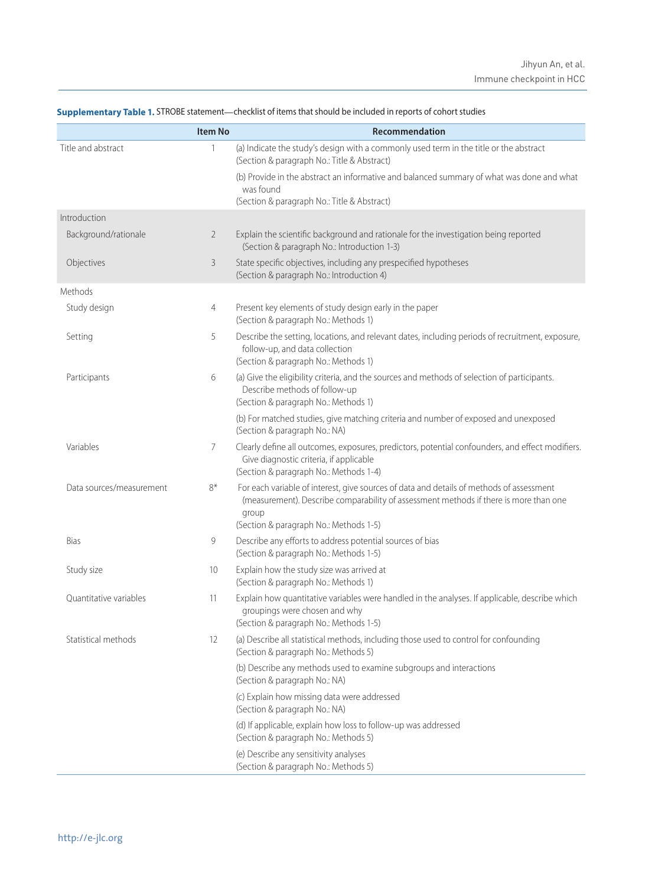|                          | <b>Item No</b> | Recommendation                                                                                                                                                                             |
|--------------------------|----------------|--------------------------------------------------------------------------------------------------------------------------------------------------------------------------------------------|
| Title and abstract       | 1              | (a) Indicate the study's design with a commonly used term in the title or the abstract<br>(Section & paragraph No.: Title & Abstract)                                                      |
|                          |                | (b) Provide in the abstract an informative and balanced summary of what was done and what<br>was found                                                                                     |
|                          |                | (Section & paragraph No.: Title & Abstract)                                                                                                                                                |
| Introduction             |                |                                                                                                                                                                                            |
| Background/rationale     | $\overline{2}$ | Explain the scientific background and rationale for the investigation being reported<br>(Section & paragraph No.: Introduction 1-3)                                                        |
| Objectives               | 3              | State specific objectives, including any prespecified hypotheses<br>(Section & paragraph No.: Introduction 4)                                                                              |
| Methods                  |                |                                                                                                                                                                                            |
| Study design             | 4              | Present key elements of study design early in the paper<br>(Section & paragraph No.: Methods 1)                                                                                            |
| Setting                  | 5              | Describe the setting, locations, and relevant dates, including periods of recruitment, exposure,<br>follow-up, and data collection<br>(Section & paragraph No.: Methods 1)                 |
| Participants             | 6              | (a) Give the eligibility criteria, and the sources and methods of selection of participants.<br>Describe methods of follow-up<br>(Section & paragraph No.: Methods 1)                      |
|                          |                | (b) For matched studies, give matching criteria and number of exposed and unexposed<br>(Section & paragraph No.: NA)                                                                       |
| Variables                | 7              | Clearly define all outcomes, exposures, predictors, potential confounders, and effect modifiers.<br>Give diagnostic criteria, if applicable<br>(Section & paragraph No.: Methods 1-4)      |
| Data sources/measurement | $8*$           | For each variable of interest, give sources of data and details of methods of assessment<br>(measurement). Describe comparability of assessment methods if there is more than one<br>group |
|                          |                | (Section & paragraph No.: Methods 1-5)                                                                                                                                                     |
| <b>Bias</b>              | 9              | Describe any efforts to address potential sources of bias<br>(Section & paragraph No.: Methods 1-5)                                                                                        |
| Study size               | 10             | Explain how the study size was arrived at<br>(Section & paragraph No.: Methods 1)                                                                                                          |
| Quantitative variables   | 11             | Explain how quantitative variables were handled in the analyses. If applicable, describe which<br>groupings were chosen and why<br>(Section & paragraph No.: Methods 1-5)                  |
| Statistical methods      | 12             | (a) Describe all statistical methods, including those used to control for confounding<br>(Section & paragraph No.: Methods 5)                                                              |
|                          |                | (b) Describe any methods used to examine subgroups and interactions<br>(Section & paragraph No.: NA)                                                                                       |
|                          |                | (c) Explain how missing data were addressed<br>(Section & paragraph No.: NA)                                                                                                               |
|                          |                | (d) If applicable, explain how loss to follow-up was addressed<br>(Section & paragraph No.: Methods 5)                                                                                     |
|                          |                | (e) Describe any sensitivity analyses<br>(Section & paragraph No.: Methods 5)                                                                                                              |

## **Supplementary Table 1.** STROBE statement—checklist of items that should be included in reports of cohort studies